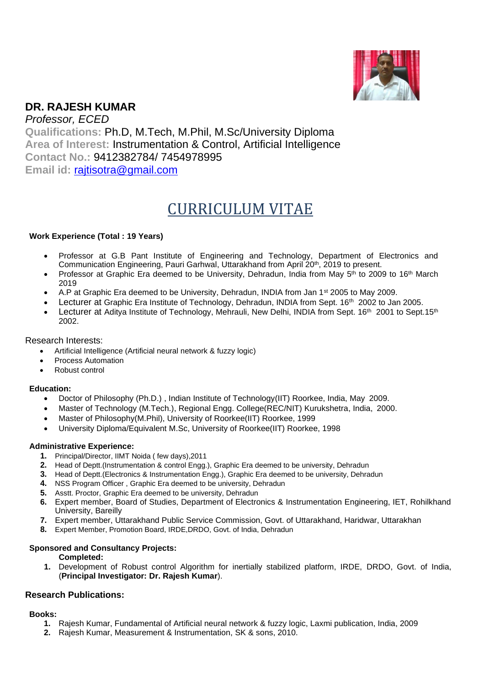

# **DR. RAJESH KUMAR** *Professor, ECED*

**Qualifications:** Ph.D, M.Tech, M.Phil, M.Sc/University Diploma **Area of Interest:** Instrumentation & Control, Artificial Intelligence **Contact No.:** 9412382784/ 7454978995 **Email id:** [rajtisotra@gmail.com](mailto:rajtisotra@gmail.com)

# CURRICULUM VITAE

# **Work Experience (Total : 19 Years)**

- Professor at G.B Pant Institute of Engineering and Technology, Department of Electronics and Communication Engineering, Pauri Garhwal, Uttarakhand from April 20<sup>th</sup>, 2019 to present.
- Professor at Graphic Era deemed to be University, Dehradun, India from May 5<sup>th</sup> to 2009 to 16<sup>th</sup> March 2019
- A.P at Graphic Era deemed to be University, Dehradun, INDIA from Jan 1st 2005 to May 2009.
- Lecturer at Graphic Era Institute of Technology, Dehradun, INDIA from Sept. 16<sup>th</sup> 2002 to Jan 2005.
- Lecturer at Aditya Institute of Technology, Mehrauli, New Delhi, INDIA from Sept. 16<sup>th</sup> 2001 to Sept.15<sup>th</sup> 2002.

#### Research Interests:

- Artificial Intelligence (Artificial neural network & fuzzy logic)
- Process Automation
- Robust control

#### **Education:**

- Doctor of Philosophy (Ph.D.) , Indian Institute of Technology(IIT) Roorkee, India, May 2009.
- Master of Technology (M.Tech.), Regional Engg. College(REC/NIT) Kurukshetra, India, 2000.
- Master of Philosophy(M.Phil), University of Roorkee(IIT) Roorkee, 1999
- University Diploma/Equivalent M.Sc, University of Roorkee(IIT) Roorkee, 1998

#### **Administrative Experience:**

- **1.** Principal/Director, IIMT Noida ( few days),2011
- **2.** Head of Deptt.(Instrumentation & control Engg.), Graphic Era deemed to be university, Dehradun
- **3.** Head of Deptt.(Electronics & Instrumentation Engg.), Graphic Era deemed to be university, Dehradun
- **4.** NSS Program Officer , Graphic Era deemed to be university, Dehradun
- **5.** Asstt. Proctor, Graphic Era deemed to be university, Dehradun
- **6.** Expert member, Board of Studies, Department of Electronics & Instrumentation Engineering, IET, Rohilkhand University, Bareilly
- **7.** Expert member, Uttarakhand Public Service Commission, Govt. of Uttarakhand, Haridwar, Uttarakhan
- **8.** Expert Member, Promotion Board, IRDE,DRDO, Govt. of India, Dehradun

# **Sponsored and Consultancy Projects:**

#### **Completed:**

**1.** Development of Robust control Algorithm for inertially stabilized platform, IRDE, DRDO, Govt. of India, (**Principal Investigator: Dr. Rajesh Kumar**).

# **Research Publications:**

# **Books:**

- **1.** Rajesh Kumar, Fundamental of Artificial neural network & fuzzy logic, Laxmi publication, India, 2009
- **2.** Rajesh Kumar, Measurement & Instrumentation, SK & sons, 2010.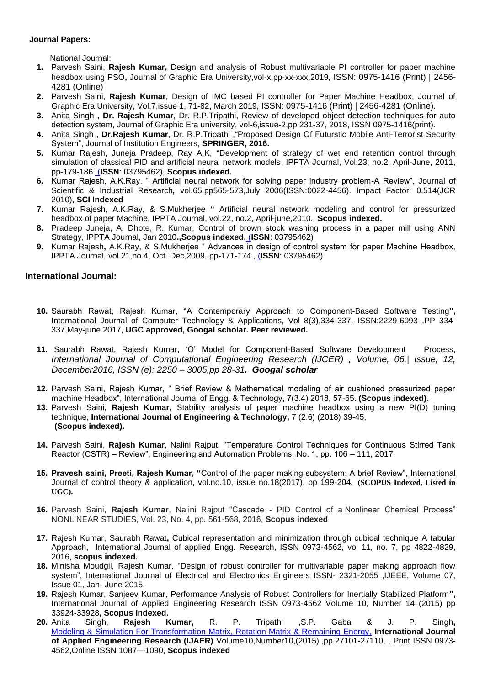# **Journal Papers:**

National Journal:

- **1.** Parvesh Saini, **Rajesh Kumar,** Design and analysis of Robust multivariable PI controller for paper machine headbox using PSO**,** Journal of Graphic Era University,vol-x,pp-xx-xxx,2019, ISSN: 0975-1416 (Print) | 2456- 4281 (Online)
- **2.** Parvesh Saini, **Rajesh Kumar**, Design of IMC based PI controller for Paper Machine Headbox, Journal of Graphic Era University, Vol.7,issue 1, 71-82, March 2019, ISSN: 0975-1416 (Print) | 2456-4281 (Online).
- **3.** Anita Singh , **Dr. Rajesh Kumar**, Dr. R.P.Tripathi, Review of developed object detection techniques for auto detection system, Journal of Graphic Era university, vol-6,issue-2,pp 231-37, 2018, ISSN 0975-1416(print).
- **4.** Anita Singh , **Dr.Rajesh Kumar**, Dr. R.P.Tripathi ,"Proposed Design Of Futurstic Mobile Anti-Terrorist Security System", Journal of Institution Engineers, **SPRINGER, 2016.**
- **5.** Kumar Rajesh, Juneja Pradeep, Ray A.K, "Development of strategy of wet end retention control through simulation of classical PID and artificial neural network models, IPPTA Journal, Vol.23, no.2, April-June, 2011, pp-179-186. (**ISSN**: 03795462), **Scopus indexed.**
- **6.** Kumar Rajesh, A.K.Ray, " Artificial neural network for solving paper industry problem-A Review", Journal of Scientific & Industrial Research*,* vol.65,pp565-573,July 2006(ISSN:0022-4456). Impact Factor: 0.514(JCR 2010), **SCI Indexed**
- **7.** Kumar Rajesh**,** A.K.Ray, & S.Mukherjee **"** Artificial neural network modeling and control for pressurized headbox of paper Machine, IPPTA Journal, vol.22, no.2, April-june,2010., **Scopus indexed.**
- **8.** Pradeep Juneja, A. Dhote, R. Kumar, Control of brown stock washing process in a paper mill using ANN Strategy, IPPTA Journal, Jan 2010**.,Scopus indexed,** (**ISSN**: 03795462)
- **9.** Kumar Rajesh**,** A.K.Ray, & S.Mukherjee " Advances in design of control system for paper Machine Headbox, IPPTA Journal, vol.21,no.4, Oct .Dec,2009, pp-171-174., (**ISSN**: 03795462)

# **International Journal:**

- **10.** Saurabh Rawat, Rajesh Kumar, "A Contemporary Approach to Component-Based Software Testing**",** International Journal of Computer Technology & Applications, Vol 8(3),334-337, ISSN:2229-6093 ,PP 334- 337,May-june 2017, **UGC approved, Googal scholar. Peer reviewed.**
- **11.** Saurabh Rawat, Rajesh Kumar, 'O' Model for Component-Based Software Development Process, *International Journal of Computational Engineering Research (IJCER) , Volume, 06,| Issue, 12, December2016, ISSN (e): 2250 – 3005,pp 28-31. Googal scholar*
- **12.** Parvesh Saini, Rajesh Kumar, " Brief Review & Mathematical modeling of air cushioned pressurized paper machine Headbox", International Journal of Engg. & Technology, 7(3.4) 2018, 57-65. **(Scopus indexed).**
- **13.** Parvesh Saini, **Rajesh Kumar,** Stability analysis of paper machine headbox using a new PI(D) tuning technique, **International Journal of Engineering & Technology,** 7 (2.6) (2018) 39-45, **(Scopus indexed).**
- **14.** Parvesh Saini, **Rajesh Kumar**, Nalini Rajput, "Temperature Control Techniques for Continuous Stirred Tank Reactor (CSTR) – Review", Engineering and Automation Problems, No. 1, pp. 106 – 111, 2017.
- **15. Pravesh saini, Preeti, Rajesh Kumar, "**Control of the paper making subsystem: A brief Review", International Journal of control theory & application, vol.no.10, issue no.18(2017), pp 199-204**. (SCOPUS Indexed, Listed in UGC).**
- **16.** Parvesh Saini, **Rajesh Kumar**, Nalini Rajput "Cascade PID Control of a Nonlinear Chemical Process" NONLINEAR STUDIES, Vol. 23, No. 4, pp. 561-568, 2016, **Scopus indexed**
- **17.** Rajesh Kumar, Saurabh Rawat**,** Cubical representation and minimization through cubical technique A tabular Approach, International Journal of applied Engg. Research, ISSN 0973-4562, vol 11, no. 7, pp 4822-4829, 2016, **scopus indexed.**
- **18.** Minisha Moudgil, Rajesh Kumar, "Design of robust controller for multivariable paper making approach flow system", International Journal of Electrical and Electronics Engineers ISSN- 2321-2055 ,IJEEE, Volume 07, Issue 01, Jan- June 2015.
- **19.** Rajesh Kumar, Sanjeev Kumar, Performance Analysis of Robust Controllers for Inertially Stabilized Platform**",** International Journal of Applied Engineering Research ISSN 0973-4562 Volume 10, Number 14 (2015) pp 33924-33928**, Scopus indexed.**
- **20.** Anita Singh, **Rajesh Kumar,** R. P. Tripathi ,S.P. Gaba & J. P. Singh**,**  [Modeling & Simulation For Transformation Matrix, Rotation Matrix & Remaining Energy,](http://www.ripublication.com/ijaer10/ijaerv10n10_206.pdf) **International Journal of Applied Engineering Research (IJAER)** Volume10,Number10,(2015) ,pp.27101-27110, , Print ISSN 0973- 4562,Online ISSN 1087—1090, **Scopus indexed**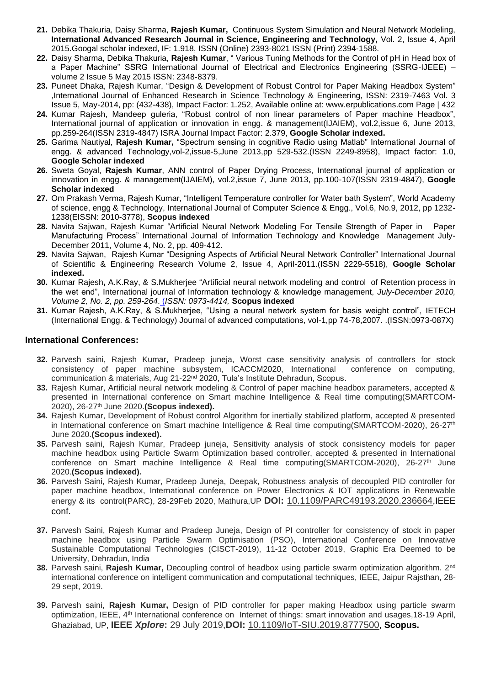- **21.** Debika Thakuria, Daisy Sharma, **Rajesh Kumar,** Continuous System Simulation and Neural Network Modeling, **International Advanced Research Journal in Science, Engineering and Technology,** Vol. 2, Issue 4, April 2015.Googal scholar indexed, IF: 1.918, ISSN (Online) 2393-8021 ISSN (Print) 2394-1588.
- **22.** Daisy Sharma, Debika Thakuria, **Rajesh Kumar**, " Various Tuning Methods for the Control of pH in Head box of a Paper Machine" SSRG International Journal of Electrical and Electronics Engineering (SSRG-IJEEE) – volume 2 Issue 5 May 2015 ISSN: 2348-8379.
- **23.** Puneet Dhaka, Rajesh Kumar, "Design & Development of Robust Control for Paper Making Headbox System" ,International Journal of Enhanced Research in Science Technology & Engineering, ISSN: 2319-7463 Vol. 3 Issue 5, May-2014, pp: (432-438), Impact Factor: 1.252, Available online at: www.erpublications.com Page | 432
- **24.** Kumar Rajesh, Mandeep guleria, "Robust control of non linear parameters of Paper machine Headbox", International journal of application or innovation in engg. & management(IJAIEM), vol.2,issue 6, June 2013, pp.259-264(ISSN 2319-4847) ISRA Journal Impact Factor: 2.379, **Google Scholar indexed.**
- **25.** Garima Nautiyal, **Rajesh Kumar,** "Spectrum sensing in cognitive Radio using Matlab" International Journal of engg. & advanced Technology,vol-2,issue-5,June 2013,pp 529-532.(ISSN 2249-8958), Impact factor: 1.0, **Google Scholar indexed**
- **26.** Sweta Goyal, **Rajesh Kumar**, ANN control of Paper Drying Process, International journal of application or innovation in engg. & management(IJAIEM), vol.2,issue 7, June 2013, pp.100-107(ISSN 2319-4847), **Google Scholar indexed**
- **27.** Om Prakash Verma, Rajesh Kumar, "Intelligent Temperature controller for Water bath System", World Academy of science, engg & Technology, International Journal of Computer Science & Engg., Vol.6, No.9, 2012, pp 1232- 1238(EISSN: 2010-3778), **Scopus indexed**
- **28.** Navita Sajwan, Rajesh Kumar "Artificial Neural Network Modeling For Tensile Strength of Paper in Paper Manufacturing Process" International Journal of Information Technology and Knowledge Management July-December 2011, Volume 4, No. 2, pp. 409-412.
- **29.** Navita Sajwan, Rajesh Kumar "Designing Aspects of Artificial Neural Network Controller" International Journal of Scientific & Engineering Research Volume 2, Issue 4, April-2011.(ISSN 2229-5518), **Google Scholar indexed.**
- **30.** Kumar Rajesh**,** A.K.Ray, & S.Mukherjee "Artificial neural network modeling and control of Retention process in the wet end", International journal of Information technology & knowledge management, *July-December 2010, Volume 2, No. 2, pp. 259-264*. (*ISSN: 0973-4414,* **Scopus indexed**
- **31.** Kumar Rajesh, A.K.Ray, & S.Mukherjee, "Using a neural network system for basis weight control", IETECH (International Engg. & Technology) Journal of advanced computations, vol-1,pp 74-78,2007. .(ISSN:0973-087X)

# **International Conferences:**

- **32.** Parvesh saini, Rajesh Kumar, Pradeep juneja, Worst case sensitivity analysis of controllers for stock consistency of paper machine subsystem, ICACCM2020, International conference on computing, communication & materials, Aug 21-22<sup>nd</sup> 2020, Tula's Institute Dehradun, Scopus.
- **33.** Rajesh Kumar, Artificial neural network modeling & Control of paper machine headbox parameters, accepted & presented in International conference on Smart machine Intelligence & Real time computing(SMARTCOM-2020), 26-27th June 2020.**(Scopus indexed).**
- **34.** Rajesh Kumar, Development of Robust control Algorithm for inertially stabilized platform, accepted & presented in International conference on Smart machine Intelligence & Real time computing(SMARTCOM-2020), 26-27<sup>th</sup> June 2020.**(Scopus indexed).**
- **35.** Parvesh saini, Rajesh Kumar, Pradeep juneja, Sensitivity analysis of stock consistency models for paper machine headbox using Particle Swarm Optimization based controller, accepted & presented in International conference on Smart machine Intelligence & Real time computing(SMARTCOM-2020), 26-27<sup>th</sup> June 2020.**(Scopus indexed).**
- **36.** Parvesh Saini, Rajesh Kumar, Pradeep Juneja, Deepak, Robustness analysis of decoupled PID controller for paper machine headbox, International conference on Power Electronics & IOT applications in Renewable energy & its control(PARC), 28-29Feb 2020, Mathura,UP **DOI:** [10.1109/PARC49193.2020.236664](https://doi.org/10.1109/PARC49193.2020.236664),IEEE conf.
- **37.** Parvesh Saini, Rajesh Kumar and Pradeep Juneja, Design of PI controller for consistency of stock in paper machine headbox using Particle Swarm Optimisation (PSO), International Conference on Innovative Sustainable Computational Technologies (CISCT-2019), 11-12 October 2019, Graphic Era Deemed to be University, Dehradun, India
- **38.** Parvesh saini, **Rajesh Kumar,** Decoupling control of headbox using particle swarm optimization algorithm. 2nd international conference on intelligent communication and computational techniques, IEEE, Jaipur Rajsthan, 28- 29 sept, 2019.
- **39.** Parvesh saini, **Rajesh Kumar,** Design of PID controller for paper making Headbox using particle swarm optimization, IEEE, 4th International conference on Internet of things: smart innovation and usages,18-19 April, Ghaziabad, UP, **IEEE** *Xplore***:** 29 July 2019,**DOI:** [10.1109/IoT-SIU.2019.8777500](https://doi.org/10.1109/IoT-SIU.2019.8777500), **Scopus.**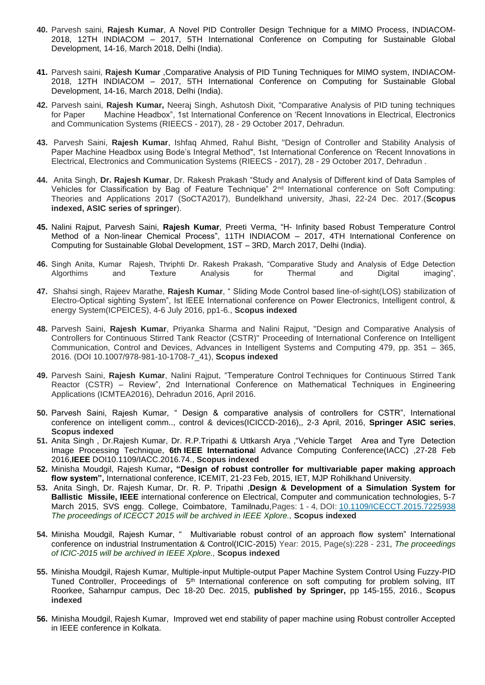- **40.** Parvesh saini, **Rajesh Kumar**, A Novel PID Controller Design Technique for a MIMO Process, INDIACOM-2018, 12TH INDIACOM – 2017, 5TH International Conference on Computing for Sustainable Global Development, 14-16, March 2018, Delhi (India).
- **41.** Parvesh saini, **Rajesh Kumar** ,Comparative Analysis of PID Tuning Techniques for MIMO system, INDIACOM-2018, 12TH INDIACOM – 2017, 5TH International Conference on Computing for Sustainable Global Development, 14-16, March 2018, Delhi (India).
- **42.** Parvesh saini, **Rajesh Kumar,** Neeraj Singh, Ashutosh Dixit, "Comparative Analysis of PID tuning techniques for Paper Machine Headbox", 1st International Conference on 'Recent Innovations in Electrical, Electronics and Communication Systems (RIEECS - 2017), 28 - 29 October 2017, Dehradun.
- **43.** Parvesh Saini, **Rajesh Kumar**, Ishfaq Ahmed, Rahul Bisht, "Design of Controller and Stability Analysis of Paper Machine Headbox using Bode's Integral Method", 1st International Conference on 'Recent Innovations in Electrical, Electronics and Communication Systems (RIEECS - 2017), 28 - 29 October 2017, Dehradun .
- **44.** Anita Singh, **Dr. Rajesh Kumar**, Dr. Rakesh Prakash "Study and Analysis of Different kind of Data Samples of Vehicles for Classification by Bag of Feature Technique" 2nd International conference on Soft Computing: Theories and Applications 2017 (SoCTA2017), Bundelkhand university, Jhasi, 22-24 Dec. 2017.(**Scopus indexed, ASIC series of springer**).
- **45.** Nalini Rajput, Parvesh Saini, **Rajesh Kumar**, Preeti Verma, "H- Infinity based Robust Temperature Control Method of a Non-linear Chemical Process", 11TH INDIACOM – 2017, 4TH International Conference on Computing for Sustainable Global Development, 1ST – 3RD, March 2017, Delhi (India).
- **46.** Singh Anita, Kumar Rajesh, Thriphti Dr. Rakesh Prakash, "Comparative Study and Analysis of Edge Detection Algorthims and Texture Analysis for Thermal and Digital imaging",
- **47.** Shahsi singh, Rajeev Marathe, **Rajesh Kumar**, " Sliding Mode Control based line-of-sight(LOS) stabilization of Electro-Optical sighting System", Ist IEEE International conference on Power Electronics, Intelligent control, & energy System(ICPEICES), 4-6 July 2016, pp1-6., **Scopus indexed**
- **48.** Parvesh Saini, **Rajesh Kumar**, Priyanka Sharma and Nalini Rajput, "Design and Comparative Analysis of Controllers for Continuous Stirred Tank Reactor (CSTR)" Proceeding of International Conference on Intelligent Communication, Control and Devices, Advances in Intelligent Systems and Computing 479, pp. 351 – 365, 2016. (DOI 10.1007/978-981-10-1708-7\_41), **Scopus indexed**
- **49.** Parvesh Saini, **Rajesh Kumar**, Nalini Rajput, "Temperature Control Techniques for Continuous Stirred Tank Reactor (CSTR) – Review", 2nd International Conference on Mathematical Techniques in Engineering Applications (ICMTEA2016), Dehradun 2016, April 2016.
- **50.** Parvesh Saini, Rajesh Kumar, " Design & comparative analysis of controllers for CSTR", International conference on intelligent comm.., control & devices(ICICCD-2016),, 2-3 April, 2016, **Springer ASIC series**, **Scopus indexed**
- **51.** Anita Singh , Dr.Rajesh Kumar, Dr. R.P.Tripathi & Uttkarsh Arya ,"Vehicle Target Area and Tyre Detection Image Processing Technique, **6th IEEE Internationa**l Advance Computing Conference(IACC) ,27-28 Feb 2016,**IEEE** DOI10.1109/IACC.2016.74., **Scopus indexed**
- **52.** Minisha Moudgil, Rajesh Kumar**, "Design of robust controller for multivariable paper making approach flow system",** International conference, ICEMIT, 21-23 Feb, 2015, IET, MJP Rohilkhand University.
- **53.** Anita Singh, Dr. Rajesh Kumar, Dr. R. P. Tripathi ,**Design & Development of a Simulation System for Ballistic Missile, IEEE** international conference on Electrical, Computer and communication technologies, 5-7 March 2015, SVS engg. College, Coimbatore, Tamilnadu,Pages: 1 - 4, DOI: [10.1109/ICECCT.2015.7225938](http://dx.doi.org/10.1109/ICECCT.2015.7225938) *The proceedings of ICECCT 2015 will be archived in IEEE Xplore.,* **Scopus indexed**
- **54.** Minisha Moudgil, Rajesh Kumar, " Multivariable robust control of an approach flow system" International conference on industrial Instrumentation & Control(ICIC-2015) Year: 2015, Page(s):228 - 231, *The proceedings of ICIC-2015 will be archived in IEEE Xplore.,* **Scopus indexed**
- **55.** Minisha Moudgil, Rajesh Kumar, Multiple-input Multiple-output Paper Machine System Control Using Fuzzy-PID Tuned Controller, Proceedings of 5<sup>th</sup> International conference on soft computing for problem solving, IIT Roorkee, Saharnpur campus, Dec 18-20 Dec. 2015, **published by Springer,** pp 145-155, 2016., **Scopus indexed**
- **56.** Minisha Moudgil, Rajesh Kumar, Improved wet end stability of paper machine using Robust controller Accepted in IEEE conference in Kolkata.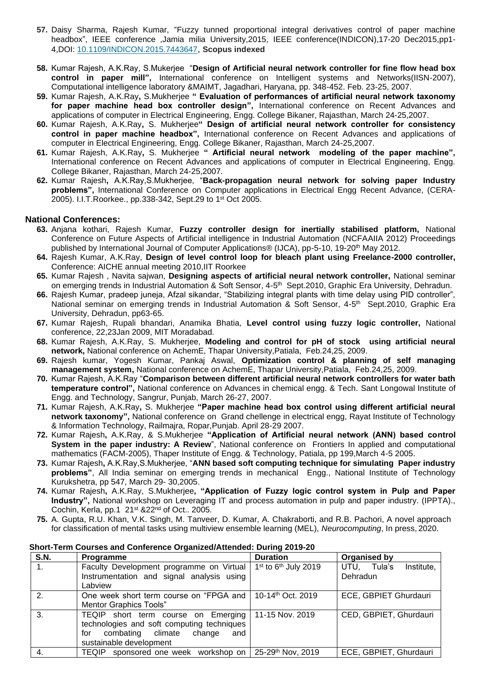- **57.** Daisy Sharma, Rajesh Kumar, "Fuzzy tunned proportional integral derivatives control of paper machine headbox", IEEE conference ,Jamia milia University,2015, IEEE conference(INDICON),17-20 Dec2015,pp1- 4,DOI: [10.1109/INDICON.2015.7443647](http://dx.doi.org/10.1109/INDICON.2015.7443647), **Scopus indexed**
- **58.** Kumar Rajesh, A.K.Ray, S.Mukerjee "**Design of Artificial neural network controller for fine flow head box control in paper mill",** International conference on Intelligent systems and Networks(IISN-2007), Computational intelligence laboratory &MAIMT, Jagadhari, Haryana, pp. 348-452. Feb. 23-25, 2007.
- **59.** Kumar Rajesh, A.K.Ray**,** S.Mukherjee **" Evaluation of performances of artificial neural network taxonomy for paper machine head box controller design",** International conference on Recent Advances and applications of computer in Electrical Engineering, Engg. College Bikaner, Rajasthan, March 24-25,2007.
- **60.** Kumar Rajesh, A.K.Ray**,** S. Mukherjee**" Design of artificial neural network controller for consistency control in paper machine headbox",** International conference on Recent Advances and applications of computer in Electrical Engineering, Engg. College Bikaner, Rajasthan, March 24-25,2007.
- **61.** Kumar Rajesh, A.K.Ray**,** S. Mukherjee **" Artificial neural network modeling of the paper machine",**  International conference on Recent Advances and applications of computer in Electrical Engineering, Engg. College Bikaner, Rajasthan, March 24-25,2007.
- **62.** Kumar Rajesh**,** A.K.Ray,S.Mukherjee, "**Back-propagation neural network for solving paper Industry problems",** International Conference on Computer applications in Electrical Engg Recent Advance, (CERA-2005). I.I.T.Roorkee., pp.338-342, Sept.29 to 1<sup>st</sup> Oct 2005.

# **National Conferences:**

- **63.** Anjana kothari, Rajesh Kumar, **Fuzzy controller design for inertially stabilised platform,** National Conference on Future Aspects of Artificial intelligence in Industrial Automation (NCFAAIIA 2012) Proceedings published by International Journal of Computer Applications® (IJCA), pp-5-10, 19-20<sup>th</sup> May 2012.
- **64.** Rajesh Kumar, A.K.Ray, **Design of level control loop for bleach plant using Freelance-2000 controller,** Conference: AICHE annual meeting 2010,IIT Roorkee
- **65.** Kumar Rajesh , Navita sajwan, **Designing aspects of artificial neural network controller,** National seminar on emerging trends in Industrial Automation & Soft Sensor, 4-5<sup>th</sup> Sept.2010, Graphic Era University, Dehradun.
- **66.** Rajesh Kumar, pradeep juneja, Afzal sikandar, "Stabilizing integral plants with time delay using PID controller", National seminar on emerging trends in Industrial Automation & Soft Sensor, 4-5<sup>th</sup> Sept.2010, Graphic Era University, Dehradun, pp63-65.
- **67.** Kumar Rajesh, Rupali bhandari, Anamika Bhatia, **Level control using fuzzy logic controller,** National conference, 22,23Jan 2009, MIT Moradabad.
- **68.** Kumar Rajesh, A.K.Ray, S. Mukherjee, **Modeling and control for pH of stock using artificial neural network,** National conference on AchemE, Thapar University,Patiala, Feb.24,25, 2009.
- **69.** Rajesh kumar, Yogesh Kumar, Pankaj Aswal, **Optimization control & planning of self managing management system,** National conference on AchemE, Thapar University,Patiala, Feb.24,25, 2009.
- **70.** Kumar Rajesh, A.K.Ray "**Comparison between different artificial neural network controllers for water bath temperature control",** National conference on Advances in chemical engg. & Tech. Sant Longowal Institute of Engg. and Technology, Sangrur, Punjab, March 26-27, 2007.
- **71.** Kumar Rajesh, A.K.Ray**,** S. Mukherjee **"Paper machine head box control using different artificial neural network taxonomy",** National conference on Grand chellenge in electrical engg, Rayat Institute of Technology & Information Technology, Railmajra, Ropar,Punjab. April 28-29 2007.
- **72.** Kumar Rajesh**,** A.K.Ray, & S.Mukherjee **"Application of Artificial neural network (ANN) based control System in the paper industry: A Review**", National conference on Frontiers In applied and computational mathematics (FACM-2005), Thaper Institute of Engg. & Technology, Patiala, pp 199,March 4-5 2005.
- **73.** Kumar Rajesh**,** A.K.Ray,S.Mukherjee, "**ANN based soft computing technique for simulating Paper industry problems"**, All India seminar on emerging trends in mechanical Engg., National Institute of Technology Kurukshetra, pp 547, March 29- 30,2005.
- **74.** Kumar Rajesh**,** A.K.Ray, S.Mukherjee**, "Application of Fuzzy logic control system in Pulp and Paper Industry",** National workshop on Leveraging IT and process automation in pulp and paper industry. (IPPTA)., Cochin, Kerla, pp.1 21st &22nd of Oct.. 2005.
- **75.** A. Gupta, R.U. Khan, V.K. Singh, M. Tanveer, D. Kumar, A. Chakraborti, and R.B. Pachori, A novel approach for classification of mental tasks using multiview ensemble learning (MEL), *Neurocomputing*, In press, 2020.

| <b>S.N.</b> | <b>Programme</b>                           | <b>Duration</b>                    | <b>Organised by</b>       |
|-------------|--------------------------------------------|------------------------------------|---------------------------|
| $1_{\cdot}$ | Faculty Development programme on Virtual   | $1st$ to 6 <sup>th</sup> July 2019 | UTU, Tula's<br>Institute, |
|             | Instrumentation and signal analysis using  |                                    | Dehradun                  |
|             | Labview                                    |                                    |                           |
| 2.          | One week short term course on "FPGA and    | 10-14 <sup>th</sup> Oct. 2019      | ECE, GBPIET Ghurdauri     |
|             | Mentor Graphics Tools"                     |                                    |                           |
| 3.          | TEQIP short term course on Emerging        | 11-15 Nov. 2019                    | CED, GBPIET, Ghurdauri    |
|             | technologies and soft computing techniques |                                    |                           |
|             | combating climate change<br>for<br>and     |                                    |                           |
|             | sustainable development                    |                                    |                           |
|             | TEQIP sponsored one week workshop on       | 25-29th Nov, 2019                  | ECE, GBPIET, Ghurdauri    |

#### **Short-Term Courses and Conference Organized/Attended: During 2019-20**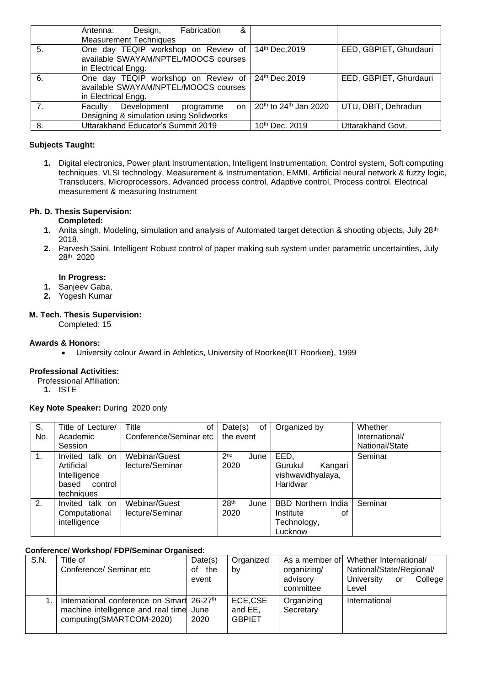|                | Fabrication<br>&<br>Design,<br>Antenna:<br><b>Measurement Techniques</b>    |                                     |                        |
|----------------|-----------------------------------------------------------------------------|-------------------------------------|------------------------|
|                |                                                                             |                                     |                        |
| 5.             | One day TEQIP workshop on Review of<br>available SWAYAM/NPTEL/MOOCS courses | 14th Dec, 2019                      | EED, GBPIET, Ghurdauri |
|                | in Electrical Engg.                                                         |                                     |                        |
| 6.             | One day TEQIP workshop on Review of<br>available SWAYAM/NPTEL/MOOCS courses | 24th Dec, 2019                      | EED, GBPIET, Ghurdauri |
|                | in Electrical Engg.                                                         |                                     |                        |
| 7 <sub>1</sub> | Development<br>Faculty<br>programme<br>on                                   | $20th$ to 24 <sup>th</sup> Jan 2020 | UTU, DBIT, Dehradun    |
|                | Designing & simulation using Solidworks                                     |                                     |                        |
| -8.            | Uttarakhand Educator's Summit 2019                                          | 10th Dec. 2019                      | Uttarakhand Govt.      |

# **Subjects Taught:**

**1.** Digital electronics, Power plant Instrumentation, Intelligent Instrumentation, Control system, Soft computing techniques, VLSI technology, Measurement & Instrumentation, EMMI, Artificial neural network & fuzzy logic, Transducers, Microprocessors, Advanced process control, Adaptive control, Process control, Electrical measurement & measuring Instrument

# **Ph. D. Thesis Supervision:**

# **Completed:**

- **1.** Anita singh, Modeling, simulation and analysis of Automated target detection & shooting objects, July 28<sup>th</sup> 2018.
- **2.** Parvesh Saini, Intelligent Robust control of paper making sub system under parametric uncertainties, July 28th 2020

## **In Progress:**

- **1.** Sanjeev Gaba,
- **2.** Yogesh Kumar

# **M. Tech. Thesis Supervision:**

Completed: 15

# **Awards & Honors:**

• University colour Award in Athletics, University of Roorkee(IIT Roorkee), 1999

# **Professional Activities:**

Professional Affiliation:

**1.** ISTE

# **Key Note Speaker:** During 2020 only

| S.  | Title of Lecture/  | Title<br>οt            | Date(s)<br>0f            | Organized by              | Whether        |
|-----|--------------------|------------------------|--------------------------|---------------------------|----------------|
| No. | Academic           | Conference/Seminar etc | the event                |                           | International/ |
|     | Session            |                        |                          |                           | National/State |
| 1.  | talk on<br>Invited | Webinar/Guest          | 2 <sub>nd</sub><br>June  | EED.                      | Seminar        |
|     | Artificial         | lecture/Seminar        | 2020                     | Kangari<br>Gurukul        |                |
|     | Intelligence       |                        |                          | vishwavidhyalaya,         |                |
|     | control<br>based   |                        |                          | Haridwar                  |                |
|     | techniques         |                        |                          |                           |                |
| 2.  | talk on<br>Invited | Webinar/Guest          | 28 <sup>th</sup><br>June | <b>BBD Northern India</b> | Seminar        |
|     | Computational      | lecture/Seminar        | 2020                     | Institute<br>οf           |                |
|     | intelligence       |                        |                          | Technology,               |                |
|     |                    |                        |                          | Lucknow                   |                |

#### **Conference/ Workshop/ FDP/Seminar Organised:**

| S.N. | Title of                                              | Date(s)   | Organized     |             | As a member of Whether International/ |
|------|-------------------------------------------------------|-----------|---------------|-------------|---------------------------------------|
|      | Conference/ Seminar etc                               | the<br>of | by            | organizing/ | National/State/Regional/              |
|      |                                                       | event     |               | advisory    | University<br>College<br>or           |
|      |                                                       |           |               | committee   | Level                                 |
|      | International conference on Smart 26-27 <sup>th</sup> |           | ECE,CSE       | Organizing  | International                         |
|      | machine intelligence and real time June               |           | and EE.       | Secretary   |                                       |
|      | computing(SMARTCOM-2020)                              | 2020      | <b>GBPIET</b> |             |                                       |
|      |                                                       |           |               |             |                                       |